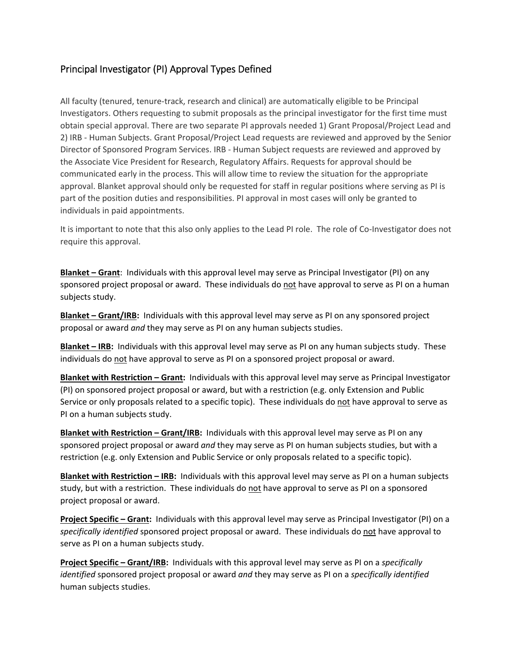## Principal Investigator (PI) Approval Types Defined

All faculty (tenured, tenure‐track, research and clinical) are automatically eligible to be Principal Investigators. Others requesting to submit proposals as the principal investigator for the first time must obtain special approval. There are two separate PI approvals needed 1) Grant Proposal/Project Lead and 2) IRB ‐ Human Subjects. Grant Proposal/Project Lead requests are reviewed and approved by the Senior Director of Sponsored Program Services. IRB ‐ Human Subject requests are reviewed and approved by the Associate Vice President for Research, Regulatory Affairs. Requests for approval should be communicated early in the process. This will allow time to review the situation for the appropriate approval. Blanket approval should only be requested for staff in regular positions where serving as PI is part of the position duties and responsibilities. PI approval in most cases will only be granted to individuals in paid appointments.

It is important to note that this also only applies to the Lead PI role. The role of Co-Investigator does not require this approval.

**Blanket – Grant**: Individuals with this approval level may serve as Principal Investigator (PI) on any sponsored project proposal or award. These individuals do not have approval to serve as PI on a human subjects study.

**Blanket – Grant/IRB:** Individuals with this approval level may serve as PI on any sponsored project proposal or award *and* they may serve as PI on any human subjects studies.

**Blanket – IRB:** Individuals with this approval level may serve as PI on any human subjects study. These individuals do not have approval to serve as PI on a sponsored project proposal or award.

**Blanket with Restriction – Grant:** Individuals with this approval level may serve as Principal Investigator (PI) on sponsored project proposal or award, but with a restriction (e.g. only Extension and Public Service or only proposals related to a specific topic). These individuals do not have approval to serve as PI on a human subjects study.

**Blanket with Restriction – Grant/IRB:** Individuals with this approval level may serve as PI on any sponsored project proposal or award *and* they may serve as PI on human subjects studies, but with a restriction (e.g. only Extension and Public Service or only proposals related to a specific topic).

**Blanket with Restriction – IRB:** Individuals with this approval level may serve as PI on a human subjects study, but with a restriction. These individuals do not have approval to serve as PI on a sponsored project proposal or award.

**Project Specific – Grant:** Individuals with this approval level may serve as Principal Investigator (PI) on a *specifically identified* sponsored project proposal or award. These individuals do not have approval to serve as PI on a human subjects study.

**Project Specific – Grant/IRB:** Individuals with this approval level may serve as PI on a *specifically identified* sponsored project proposal or award *and* they may serve as PI on a *specifically identified* human subjects studies.